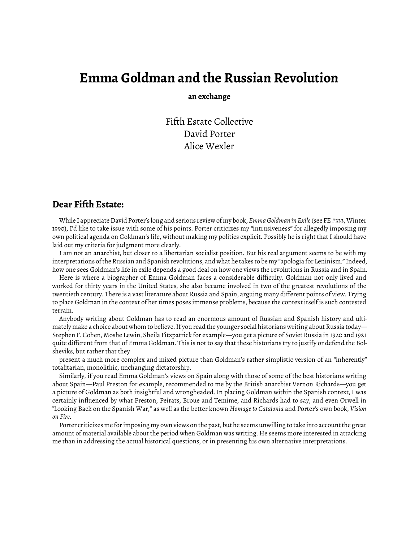## **Emma Goldman and the Russian Revolution**

**an exchange**

Fifth Estate Collective David Porter Alice Wexler

## **Dear Fifth Estate:**

While I appreciate David Porter's long and serious review of my book, *Emma Goldman in Exile*(see [FE #333, Winter](https://www.fifthestate.org/archive/333-winter-1990/emma-goldman-in-exile/) [1990](https://www.fifthestate.org/archive/333-winter-1990/emma-goldman-in-exile/)), I'd like to take issue with some of his points. Porter criticizes my "intrusiveness" for allegedly imposing my own political agenda on Goldman's life, without making my politics explicit. Possibly he is right that I should have laid out my criteria for judgment more clearly.

I am not an anarchist, but closer to a libertarian socialist position. But his real argument seems to be with my interpretations of the Russian and Spanish revolutions, and what he takes to be my "apologia for Leninism." Indeed, how one sees Goldman's life in exile depends a good deal on how one views the revolutions in Russia and in Spain.

Here is where a biographer of Emma Goldman faces a considerable difficulty. Goldman not only lived and worked for thirty years in the United States, she also became involved in two of the greatest revolutions of the twentieth century. There is a vast literature about Russia and Spain, arguing many different points of view. Trying to place Goldman in the context of her times poses immense problems, because the context itself is such contested terrain.

Anybody writing about Goldman has to read an enormous amount of Russian and Spanish history and ultimately make a choice about whom to believe. If you read the younger social historians writing about Russia today— Stephen F. Cohen, Moshe Lewin, Sheila Fitzpatrick for example—you get a picture of Soviet Russia in 1920 and 1921 quite different from that of Emma Goldman. This is not to say that these historians try to justify or defend the Bolsheviks, but rather that they

present a much more complex and mixed picture than Goldman's rather simplistic version of an "inherently" totalitarian, monolithic, unchanging dictatorship.

Similarly, if you read Emma Goldman's views on Spain along with those of some of the best historians writing about Spain—Paul Preston for example, recommended to me by the British anarchist Vernon Richards—you get a picture of Goldman as both insightful and wrongheaded. In placing Goldman within the Spanish context, I was certainly influenced by what Preston, Peirats, Broue and Temime, and Richards had to say, and even Orwell in "Looking Back on the Spanish War," as well as the better known *Homage to Catalonia* and Porter's own book, *Vision on Fire*.

Porter criticizes me for imposing my own views on the past, but he seems unwilling to take into account the great amount of material available about the period when Goldman was writing. He seems more interested in attacking me than in addressing the actual historical questions, or in presenting his own alternative interpretations.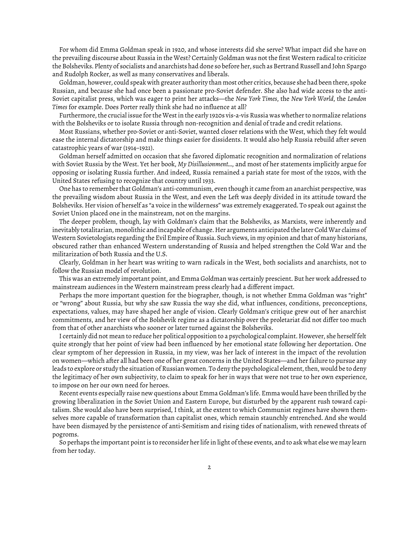For whom did Emma Goldman speak in 1920, and whose interests did she serve? What impact did she have on the prevailing discourse about Russia in the West? Certainly Goldman was not the first Western radical to criticize the Bolsheviks. Plenty of socialists and anarchists had done so before her, such as Bertrand Russell and John Spargo and Rudolph Rocker, as well as many conservatives and liberals.

Goldman, however, could speak with greater authority than most other critics, because she had been there, spoke Russian, and because she had once been a passionate pro-Soviet defender. She also had wide access to the anti-Soviet capitalist press, which was eager to print her attacks—the *New York Times*, the *New York World*, the *London Times* for example. Does Porter really think she had no influence at all?

Furthermore, the crucial issue for the West in the early 1920s vis-a-vis Russia was whether to normalize relations with the Bolsheviks or to isolate Russia through non-recognition and denial of trade and credit relations.

Most Russians, whether pro-Soviet or anti-Soviet, wanted closer relations with the West, which they felt would ease the internal dictatorship and make things easier for dissidents. It would also help Russia rebuild after seven catastrophic years of war (1914–1921).

Goldman herself admitted on occasion that she favored diplomatic recognition and normalization of relations with Soviet Russia by the West. Yet her book, *My Disillusionment…,* and most of her statements implicitly argue for opposing or isolating Russia further. And indeed, Russia remained a pariah state for most of the 1920s, with the United States refusing to recognize that country until 1933.

One has to remember that Goldman's anti-communism, even though it came from an anarchist perspective, was the prevailing wisdom about Russia in the West, and even the Left was deeply divided in its attitude toward the Bolsheviks. Her vision of herself as "a voice in the wilderness" was extremely exaggerated. To speak out against the Soviet Union placed one in the mainstream, not on the margins.

The deeper problem, though, lay with Goldman's claim that the Bolsheviks, as Marxists, were inherently and inevitably totalitarian, monolithic and incapable of change. Her arguments anticipated the later Cold War claims of Western Sovietologists regarding the Evil Empire of Russia. Such views, in my opinion and that of many historians, obscured rather than enhanced Western understanding of Russia and helped strengthen the Cold War and the militarization of both Russia and the U.S.

Clearly, Goldman in her heart was writing to warn radicals in the West, both socialists and anarchists, not to follow the Russian model of revolution.

This was an extremely important point, and Emma Goldman was certainly prescient. But her work addressed to mainstream audiences in the Western mainstream press clearly had a different impact.

Perhaps the more important question for the biographer, though, is not whether Emma Goldman was "right" or "wrong" about Russia, but why she saw Russia the way she did, what influences, conditions, preconceptions, expectations, values, may have shaped her angle of vision. Clearly Goldman's critique grew out of her anarchist commitments, and her view of the Bolshevik regime as a dictatorship over the proletariat did not differ too much from that of other anarchists who sooner or later turned against the Bolsheviks.

I certainly did not mean to reduce her political opposition to a psychological complaint. However, she herself felt quite strongly that her point of view had been influenced by her emotional state following her deportation. One clear symptom of her depression in Russia, in my view, was her lack of interest in the impact of the revolution on women—which after all had been one of her great concerns in the United States—and her failure to pursue any leads to explore or study the situation of Russian women. To deny the psychological element, then, would be to deny the legitimacy of her own subjectivity, to claim to speak for her in ways that were not true to her own experience, to impose on her our own need for heroes.

Recent events especially raise new questions about Emma Goldman's life. Emma would have been thrilled by the growing liberalization in the Soviet Union and Eastern Europe, but disturbed by the apparent rush toward capitalism. She would also have been surprised, I think, at the extent to which Communist regimes have shown themselves more capable of transformation than capitalist ones, which remain staunchly entrenched. And she would have been dismayed by the persistence of anti-Semitism and rising tides of nationalism, with renewed threats of pogroms.

So perhaps the important point is to reconsider her life in light of these events, and to ask what else we may learn from her today.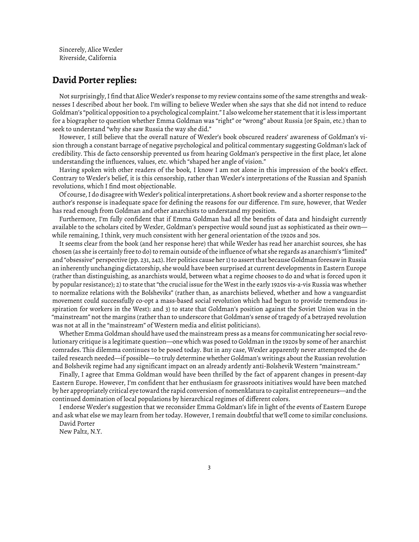Sincerely, Alice Wexler Riverside, California

## **David Porter replies:**

Not surprisingly, I find that Alice Wexler's response to my review contains some of the same strengths and weaknesses I described about her book. I'm willing to believe Wexler when she says that she did not intend to reduce Goldman's "political opposition to a psychological complaint." I also welcome her statement that it is less important for a biographer to question whether Emma Goldman was "right" or "wrong" about Russia [or Spain, etc.) than to seek to understand "why she saw Russia the way she did."

However, I still believe that the overall nature of Wexler's book obscured readers' awareness of Goldman's vision through a constant barrage of negative psychological and political commentary suggesting Goldman's lack of credibility. This de facto censorship prevented us from hearing Goldman's perspective in the first place, let alone understanding the influences, values, etc. which "shaped her angle of vision."

Having spoken with other readers of the book, I know I am not alone in this impression of the book's effect. Contrary to Wexler's belief, it is this censorship, rather than Wexler's interpretations of the Russian and Spanish revolutions, which I find most objectionable.

Of course, I do disagree with Wexler's political interpretations. A short book review and a shorter response to the author's response is inadequate space for defining the reasons for our difference. I'm sure, however, that Wexler has read enough from Goldman and other anarchists to understand my position.

Furthermore, I'm fully confident that if Emma Goldman had all the benefits of data and hindsight currently available to the scholars cited by Wexler, Goldman's perspective would sound just as sophisticated as their own while remaining, I think, very much consistent with her general orientation of the 1920s and 30s.

It seems clear from the book (and her response here) that while Wexler has read her anarchist sources, she has chosen (as she is certainly free to do) to remain outside of the influence of what she regards as anarchism's "limited" and "obsessive" perspective (pp. 231, 242). Her politics cause her 1) to assert that because Goldman foresaw in Russia an inherently unchanging dictatorship, she would have been surprised at current developments in Eastern Europe (rather than distinguishing, as anarchists would, between what a regime chooses to do and what is forced upon it by popular resistance); 2) to state that "the crucial issue for the West in the early 1920s vis-a-vis Russia was whether to normalize relations with the Bolsheviks" (rather than, as anarchists believed, whether and how a vanguardist movement could successfully co-opt a mass-based social revolution which had begun to provide tremendous inspiration for workers in the West): and 3) to state that Goldman's position against the Soviet Union was in the "mainstream" not the margins (rather than to underscore that Goldman's sense of tragedy of a betrayed revolution was not at all in the "mainstream" of Western media and elitist politicians).

Whether Emma Goldman should have used the mainstream press as a means for communicating her social revolutionary critique is a legitimate question—one which was posed to Goldman in the 1920s by some of her anarchist comrades. This dilemma continues to be posed today. But in any case, Wexler apparently never attempted the detailed research needed—if possible—to truly determine whether Goldman's writings about the Russian revolution and Bolshevik regime had any significant impact on an already ardently anti-Bolshevik Western "mainstream."

Finally, I agree that Emma Goldman would have been thrilled by the fact of apparent changes in present-day Eastern Europe. However, I'm confident that her enthusiasm for grassroots initiatives would have been matched by her appropriately critical eye toward the rapid conversion of nomenklatura to capitalist entrepreneurs—and the continued domination of local populations by hierarchical regimes of different colors.

I endorse Wexler's suggestion that we reconsider Emma Goldman's life in light of the events of Eastern Europe and ask what else we may learn from her today. However, I remain doubtful that we'll come to similar conclusions. David Porter

New Paltz, N.Y.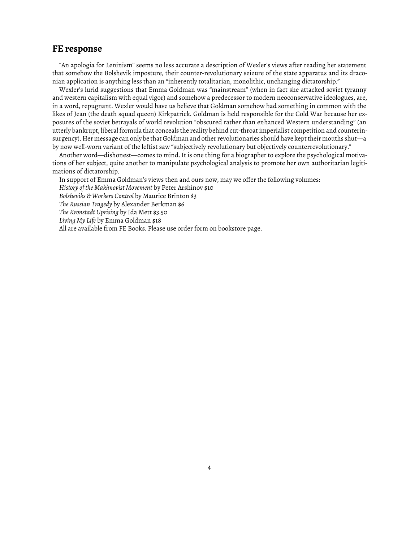## **FE response**

"An apologia for Leninism" seems no less accurate a description of Wexler's views after reading her statement that somehow the Bolshevik imposture, their counter-revolutionary seizure of the state apparatus and its draconian application is anything less than an "inherently totalitarian, monolithic, unchanging dictatorship."

Wexler's lurid suggestions that Emma Goldman was "mainstream" (when in fact she attacked soviet tyranny and western capitalism with equal vigor) and somehow a predecessor to modern neoconservative ideologues, are, in a word, repugnant. Wexler would have us believe that Goldman somehow had something in common with the likes of Jean (the death squad queen) Kirkpatrick. Goldman is held responsible for the Cold War because her exposures of the soviet betrayals of world revolution "obscured rather than enhanced Western understanding" (an utterly bankrupt, liberal formula that conceals the reality behind cut-throat imperialist competition and counterinsurgency). Her message can only be that Goldman and other revolutionaries should have kept their mouths shut—a by now well-worn variant of the leftist saw "subjectively revolutionary but objectively counterrevolutionary."

Another word—dishonest—comes to mind. It is one thing for a biographer to explore the psychological motivations of her subject, quite another to manipulate psychological analysis to promote her own authoritarian legitimations of dictatorship.

In support of Emma Goldman's views then and ours now, may we offer the following volumes:

*History of the Makhnovist Movement* by Peter Arshinov \$10

*Bolsheviks & Workers Control* by Maurice Brinton \$3

*The Russian Tragedy* by Alexander Berkman \$6

*The Kronstadt Uprising* by Ida Mett \$3.50

*Living My Life* by Emma Goldman \$18

All are available from FE Books. Please use order form on bookstore page.